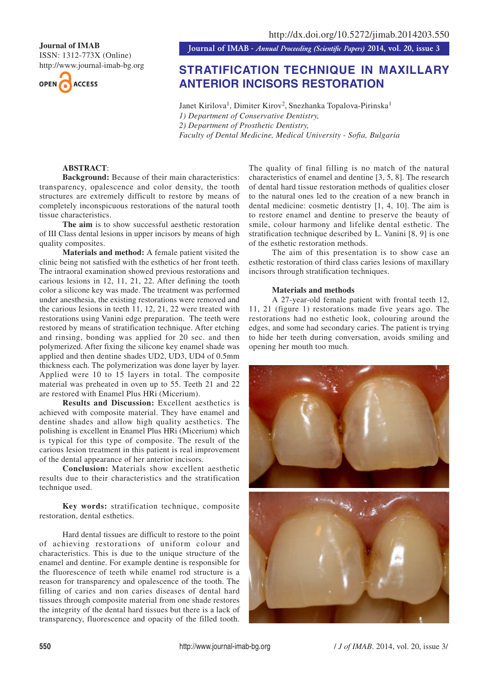ISSN: 1312-773X (Online) http://www.journal-imab-bg.org



**Journal of IMAB**<br>**Journal of IMAB** - Annual Proceeding (Scientific Papers) 2014, vol. 20, issue 3

# **STRATIFICATION TECHNIQUE IN MAXILLARY ANTERIOR INCISORS RESTORATION**

Janet Kirilova<sup>1</sup>, Dimiter Kirov<sup>2</sup>, Snezhanka Topalova-Pirinska<sup>1</sup> *1) Department of Conservative Dentistry, 2) Department of Prosthetic Dentistry, Faculty of Dental Medicine, Medical University - Sofia, Bulgaria*

# **ABSTRACT**:

**Background:** Because of their main characteristics: transparency, opalescence and color density, the tooth structures are extremely difficult to restore by means of completely inconspicuous restorations of the natural tooth tissue characteristics.

**The aim** is to show successful aesthetic restoration of III Class dental lesions in upper incisors by means of high quality composites.

**Materials and method:** A female patient visited the clinic being not satisfied with the esthetics of her front teeth. The intraoral examination showed previous restorations and carious lesions in 12, 11, 21, 22. After defining the tooth color a silicone key was made. The treatment was performed under anesthesia, the existing restorations were removed and the carious lesions in teeth 11, 12, 21, 22 were treated with restorations using Vanini edge preparation. The teeth were restored by means of stratification technique. After etching and rinsing, bonding was applied for 20 sec. and then polymerized. After fixing the silicone key enamel shade was applied and then dentine shades UD2, UD3, UD4 of 0.5mm thickness each. The polymerization was done layer by layer. Applied were 10 to 15 layers in total. The composite material was preheated in oven up to 55. Teeth 21 and 22 are restored with Enamel Plus HRi (Micerium).

**Results and Discussion:** Excellent aesthetics is achieved with composite material. They have enamel and dentine shades and allow high quality aesthetics. The polishing is excellent in Enamel Plus HRi (Micerium) which is typical for this type of composite. The result of the carious lesion treatment in this patient is real improvement of the dental appearance of her anterior incisors.

**Conclusion:** Materials show excellent aesthetic results due to their characteristics and the stratification technique used.

**Key words:** stratification technique, composite restoration, dental esthetics.

Hard dental tissues are difficult to restore to the point of achieving restorations of uniform colour and characteristics. This is due to the unique structure of the enamel and dentine. For example dentine is responsible for the fluorescence of teeth while enamel rod structure is a reason for transparency and opalescence of the tooth. The filling of caries and non caries diseases of dental hard tissues through composite material from one shade restores the integrity of the dental hard tissues but there is a lack of transparency, fluorescence and opacity of the filled tooth.

The quality of final filling is no match of the natural characteristics of enamel and dentine [3, 5, 8]. The research of dental hard tissue restoration methods of qualities closer to the natural ones led to the creation of a new branch in dental medicine: cosmetic dentistry [1, 4, 10]. The aim is to restore enamel and dentine to preserve the beauty of smile, colour harmony and lifelike dental esthetic. The stratification technique described by L. Vanini [8, 9] is one of the esthetic restoration methods.

The aim of this presentation is to show case an esthetic restoration of third class caries lesions of maxillary incisors through stratification techniques.

# **Materials and methods**

A 27-year-old female patient with frontal teeth 12, 11, 21 (figure 1) restorations made five years ago. The restorations had no esthetic look, colouring around the edges, and some had secondary caries. The patient is trying to hide her teeth during conversation, avoids smiling and opening her mouth too much.

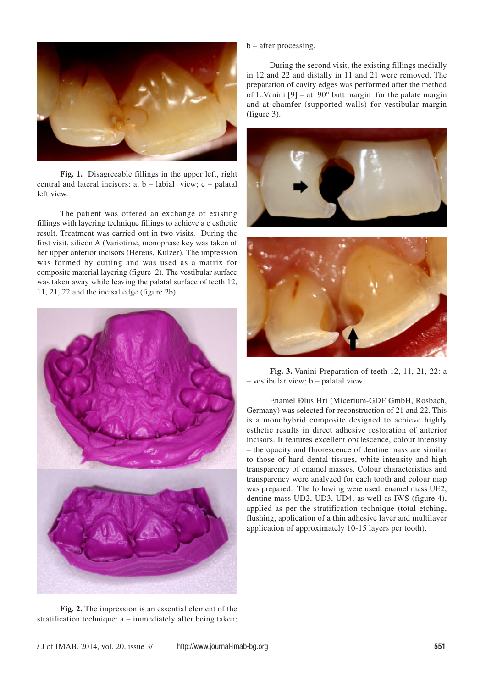

**Fig. 1.** Disagreeable fillings in the upper left, right central and lateral incisors: a, b – labial view; c – palatal left view.

The patient was offered an exchange of existing fillings with layering technique fillings to achieve a c esthetic result. Treatment was carried out in two visits. During the first visit, silicon A (Variotime, monophase key was taken of her upper anterior incisors (Hereus, Kulzer). The impression was formed by cutting and was used as a matrix for composite material layering (figure 2). The vestibular surface was taken away while leaving the palatal surface of teeth 12, 11, 21, 22 and the incisal edge (figure 2b).



**Fig. 2.** The impression is an essential element of the stratification technique: a – immediately after being taken;

#### b – after processing.

During the second visit, the existing fillings medially in 12 and 22 and distally in 11 and 21 were removed. The preparation of cavity edges was performed after the method of L.Vanini  $[9]$  – at  $[90^\circ$  butt margin for the palate margin and at chamfer (supported walls) for vestibular margin (figure 3).





**Fig. 3.** Vanini Preparation of teeth 12, 11, 21, 22: a – vestibular view; b – palatal view.

Enamel Ðlus Hri (Micerium-GDF GmbH, Rosbach, Germany) was selected for reconstruction of 21 and 22. This is a monohybrid composite designed to achieve highly esthetic results in direct adhesive restoration of anterior incisors. It features excellent opalescence, colour intensity – the opacity and fluorescence of dentine mass are similar to those of hard dental tissues, white intensity and high transparency of enamel masses. Colour characteristics and transparency were analyzed for each tooth and colour map was prepared. The following were used: enamel mass UE2, dentine mass UD2, UD3, UD4, as well as IWS (figure 4), applied as per the stratification technique (total etching, flushing, application of a thin adhesive layer and multilayer application of approximately 10-15 layers per tooth).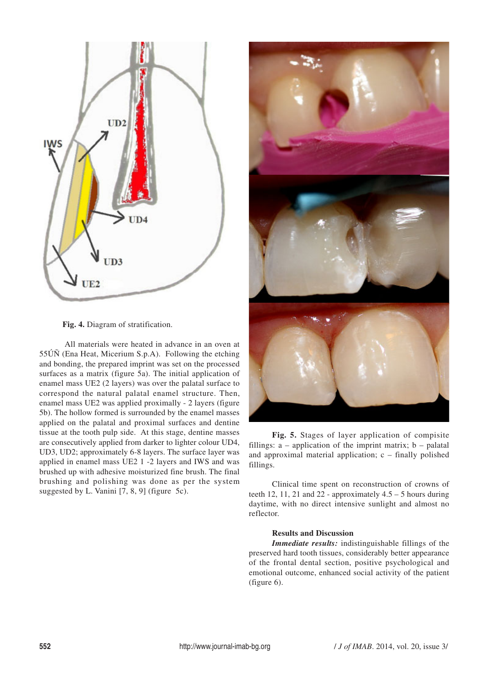

**Fig. 4.** Diagram of stratification.

 All materials were heated in advance in an oven at 55ÚÑ (Ena Heat, Micerium S.p.A). Following the etching and bonding, the prepared imprint was set on the processed surfaces as a matrix (figure 5a). The initial application of enamel mass UE2 (2 layers) was over the palatal surface to correspond the natural palatal enamel structure. Then, enamel mass UE2 was applied proximally - 2 layers (figure 5b). The hollow formed is surrounded by the enamel masses applied on the palatal and proximal surfaces and dentine tissue at the tooth pulp side. At this stage, dentine masses are consecutively applied from darker to lighter colour UD4, UD3, UD2; approximately 6-8 layers. The surface layer was applied in enamel mass UE2 1 -2 layers and IWS and was brushed up with adhesive moisturized fine brush. The final brushing and polishing was done as per the system suggested by L. Vanini [7, 8, 9] (figure 5c).



**Fig. 5.** Stages of layer application of compisite fillings:  $a$  – application of the imprint matrix;  $b$  – palatal and approximal material application;  $c$  – finally polished fillings.

Clinical time spent on reconstruction of crowns of teeth 12, 11, 21 and 22 - approximately  $4.5 - 5$  hours during daytime, with no direct intensive sunlight and almost no reflector.

# **Results and Discussion**

*Immediate results:* indistinguishable fillings of the preserved hard tooth tissues, considerably better appearance of the frontal dental section, positive psychological and emotional outcome, enhanced social activity of the patient (figure 6).